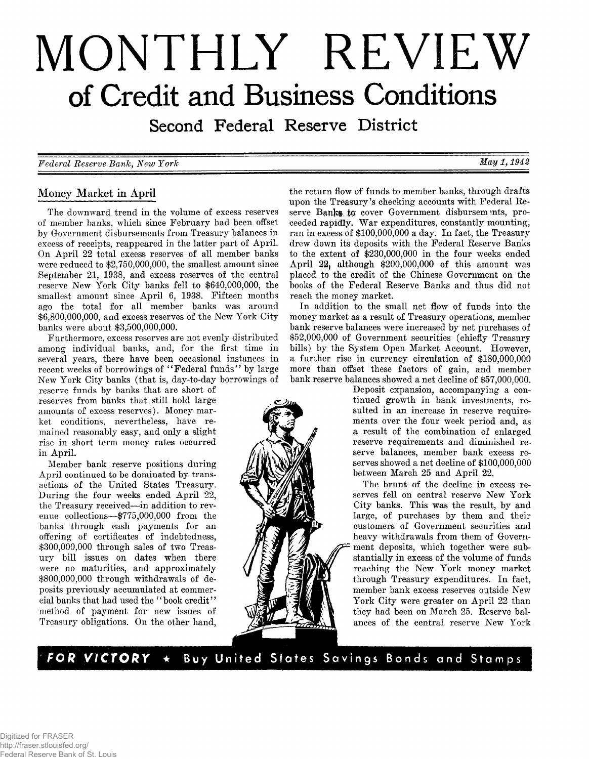# **MONTHLY REVIEW of Credit and Business Conditions**

Second Federal Reserve District

*Federal Reserve Bank, New York May 1,1942*

# **Money Market in April**

**The downward trend in the volume of excess reserves of member banks, which since February had been offset by Government disbursements from Treasury balances in excess of receipts, reappeared in the latter part of April. On April 22 total excess reserves of all member banks were reduced to \$2,750,000,000, the smallest amount since September 21, 1938, and excess reserves of the central reserve New York City banks fell to \$640,000,000, the smallest amount since April 6, 1938. Fifteen months ago the total for all member banks was around \$6,800,000,000, and excess reserves of the New York City banks were about \$3,500,000,000.**

**Furthermore, excess reserves are not evenly distributed among individual banks, and, for the first time in several years, there have been occasional instances in recent weeks of borrowings of " Federal funds" by large New York City banks (that is, day-to-day borrowings of**

**reserve funds by banks that are short of reserves from banks that still hold large amounts of excess reserves). Money market conditions, nevertheless, have remained reasonably easy, and only a slight rise in short term money rates occurred in April.**

**Member bank reserve positions during April continued to be dominated by transactions of the United States Treasury. During the four weeks ended April 22, the Treasury received— in addition to revenue collections— \$775,000,000 from the banks through cash payments for an offering of certificates of indebtedness, \$300,000,000 through sales of two Treasury bill issues on dates when there were no maturities, and approximately \$800,000,000 through withdrawals of deposits previously accumulated at commercial banks that had used the " book credit" method of payment for new issues of Treasury obligations. On the other hand,**



**the return flow of funds to member banks, through drafts upon the Treasury's checking accounts with Federal Re**serve Banks to cover Government disbursements, pro**ceeded rapidly War expenditures, constantly mounting, ran in excess of \$100,000,000 a day. In fact, the Treasury drew down its deposits with the Federal Reserve Banks to the extent of \$230,000,000 in the four weeks ended April 22| although \$200,000,000 of this amount was placed to the credit of the Chinese Government on the books of the Federal Reserve Banks and thus did not reach the money market.**

**In addition to the small net flow of funds into the money market as a result of Treasury operations, member bank reserve balances were increased by net purchases of \$52,000,000 of Government securities (chiefly Treasury bills) by the System Open Market Account. However, a further rise in currency circulation of \$180,000,000 more than offset these factors of gain, and member bank reserve balances showed a net decline of \$57,000,000.**

**Deposit expansion, accompanying a continued growth in bank investments, resulted in an increase in reserve requirements over the four week period and, as a result of the combination of enlarged reserve requirements and diminished reserve balances, member bank excess reserves showed a net decline of \$100,000,000 between March 25 and April 22.**

**The brunt of the decline in excess reserves fell on central reserve New York City banks. This was the result, by and large, of purchases by them and their customers of Government securities and heavy withdrawals from them of Government deposits, which together were substantially in excess of the volume of funds reaching the New York money market through Treasury expenditures. In fact, member bank excess reserves outside New York City were greater on April 22 than they had been on March 25. Reserve balances of the central reserve New York**

FOR VICTORY \* Buy United States Savings Bonds and Stamps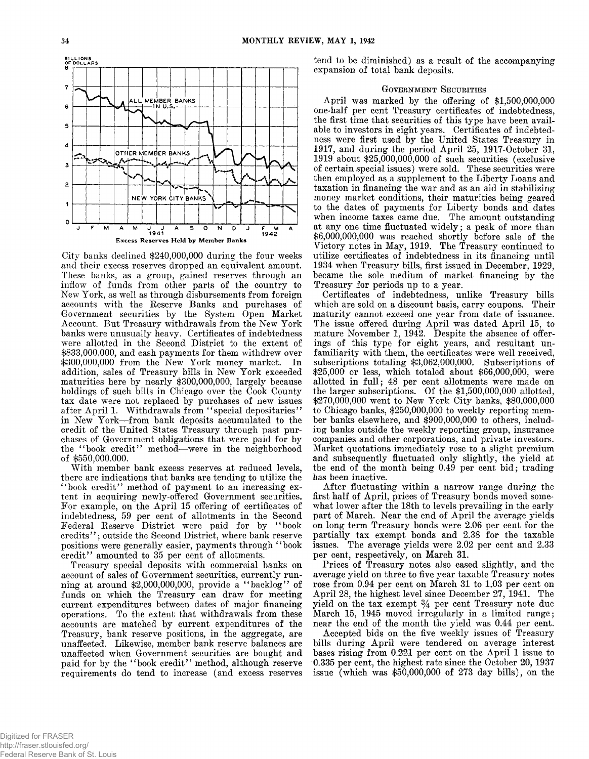

**City banks declined \$240,000,000 during the four weeks and their excess reserves dropped an equivalent amount. These banks, as a group, gained reserves through an inflow of funds from other parts of the country to New York, as well as through disbursements from foreign accounts with the Reserve Banks and purchases of Government securities by the System Open Market Account. But Treasury withdrawals from the New York banks were unusually heavy. Certificates of indebtedness were allotted in the Second District to the extent of \$833,000,000, and cash payments for them withdrew over \$300,000,000 from the New York money market. In addition, sales of Treasury bills in New York exceeded maturities here by nearly \$300,000,000, largely because holdings of such bills in Chicago over the Cook County tax date were not replaced by purchases of new issues after April 1. Withdrawals from " special depositaries" in New York— from bank deposits accumulated to the credit of the United States Treasury through past purchases of Government obligations that were paid for by the " book credit" method— were in the neighborhood of \$550,000,000.**

**With member bank excess reserves at reduced levels, there are indications that banks are tending to utilize the " book credit" method of payment to an increasing extent in acquiring newly-offered Government securities. For example, on the April 15 offering of certificates of indebtedness, 59 per cent of allotments in the Second Federal Reserve District were paid for by " book credits" ; outside the Second District, where bank reserve positions were generally easier, payments through " book credit" amounted to 35 per cent of allotments.**

**Treasury special deposits with commercial banks on account of sales of Government securities, currently running at around \$2,000,000,000, provide a " backlog" of funds on which the Treasury can draw for meeting current expenditures between dates of major financing operations. To the extent that withdrawals from these accounts are matched by current expenditures of the Treasury, bank reserve positions, in the aggregate, are unaffected. Likewise, member bank reserve balances are unaffected when Government securities are bought and paid for by the " book credit" method, although reserve requirements do tend to increase (and excess reserves** **tend to be diminished) as a result of the accompanying expansion of total bank deposits.**

## GOVERNMENT SECURITIES

**April was marked by the offering of \$1,500,000,000 one-half per cent Treasury certificates of indebtedness, the first time that securities of this type have been available to investors in eight years. Certificates of indebtedness were first used by the United States Treasury in 1917, and during the period April 25, 1917-October 31, 1919 about \$25,000,000,000 of such securities (exclusive of certain special issues) were sold. These securities were then employed as a supplement to the Liberty Loans and taxation in financing the war and as an aid in stabilizing money market conditions, their maturities being geared to the dates of payments for Liberty bonds and dates when income taxes came due. The amount outstanding at any one time fluctuated widely; a peak of more than \$6,000,000,000 was reached shortly before sale of the Victory notes in May, 1919. The Treasury continued to utilize certificates of indebtedness in its financing until 1934 when Treasury bills, first issued in December, 1929, became the sole medium of market financing by the Treasury for periods up to a year.**

**Certificates of indebtedness, unlike Treasury bills which are sold on a discount basis, carry coupons. Their maturity cannot exceed one year from date of issuance. The issue offered during April was dated April 15, to mature November 1, 1942. Despite the absence of offerings of this type for eight years, and resultant unfamiliarity with them, the certificates were well received, subscriptions totaling \$3,062,000,000. Subscriptions of \$25,000 or less, which totaled about \$66,000,000, were allotted in full; 48 per cent allotments were made on the larger subscriptions. Of the \$1,500,000,000 allotted, \$270,000,000 went to New York City banks, \$80,000,000 to Chicago banks, \$250,000,000 to weekly reporting member banks elsewhere, and \$900,000,000 to others, including banks outside the weekly reporting group, insurance companies and other corporations, and private investors. Market quotations immediately rose to a slight premium and subsequently fluctuated only slightly, the yield at the end of the month being 0.49 per cent bid; trading has been inactive.**

**After fluctuating within a narrow range during the first half of April, prices of Treasury bonds moved somewhat lower after the 18th to levels prevailing in the early part of March. Near the end of April the average yields on long term Treasury bonds were 2.06 per cent for the partially tax exempt bonds and 2.38 for the taxable issues. The average yields were 2.02 per cent and 2.33 per cent, respectively, on March 31.**

**Prices of Treasury notes also eased slightly, and the average yield on three to five year taxable Treasury notes rose from 0.94 per cent on March 31 to 1.03 per cent on April 28, the highest level since December 27, 1941. The yield on the tax exempt** *%* **per cent Treasury note due March 15, 1945 moved irregularly in a limited range; near the end of the month the yield was 0.44 per cent.**

**Accepted bids on the five weekly issues of Treasury bills during April were tendered on average interest bases rising from 0.221 per cent on the April 1 issue to 0.335 per cent, the highest rate since the October 20, 1937 issue (which was \$50,000,000 of 273 day bills), on the**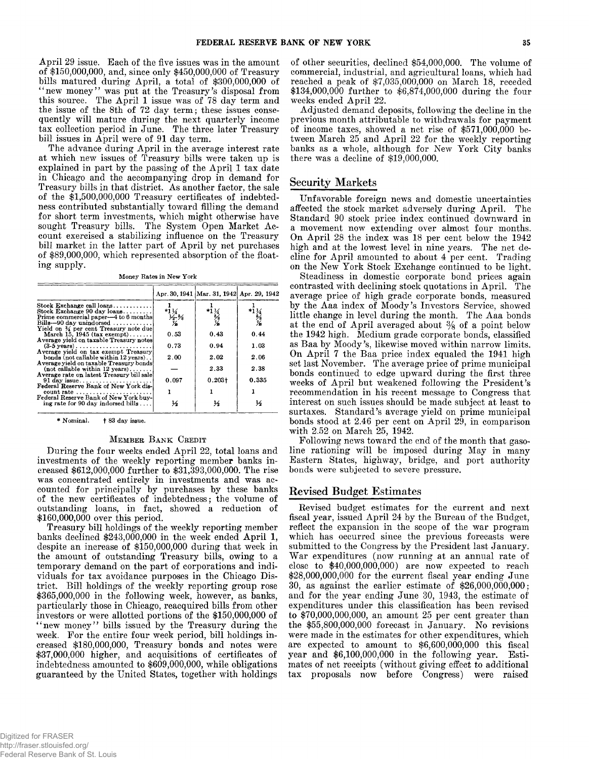**April 29 issue. Each of the five issues was in the amount of \$150,000,000, and, since only \$450,000,000 of Treasury bills matured during April, a total of \$300,000,000 of " new money' ' was put at the Treasury's disposal from this source. The April 1 issue was of 78 day term and the issue of the 8th of 72 day term; these issues consequently will mature during the next quarterly income tax collection period in June. The three later Treasury bill issues in April were of 91 day term.**

**The advance during April in the average interest rate at which new issues of Treasury bills were taken up is explained in part by the passing of the April 1 tax date in Chicago and the accompanying drop in demand for Treasury bills in that district. As another factor, the sale of the \$1,500,000,000 Treasury certificates of indebtedness contributed substantially toward filling the demand for short term investments, which might otherwise have sought Treasury bills. The System Open Market Account exercised a stabilizing influence on the Treasury bill market in the latter part of April by net purchases of \$89,000,000, which represented absorption of the floating supply.**

**Money Rates in New York**

|                                                                                              |                 | Apr. 30, 1941   Mar. 31, 1942   Apr. 29, 1942 |                                    |
|----------------------------------------------------------------------------------------------|-----------------|-----------------------------------------------|------------------------------------|
| Stock Exchange call $\log n$ s                                                               |                 |                                               |                                    |
| Stock Exchange 90 day $\{0, 1, \ldots, \ldots\}$<br>Prime commercial paper—4 to 6 months     | $*1\frac{1}{4}$ |                                               |                                    |
| Bills-90 day unindorsed $\ldots$                                                             | $\frac{1}{2}$ % | $\frac{1}{2}$                                 | $*1\frac{1}{2}$<br>$*2\frac{1}{2}$ |
| Yield on % per cent Treasury note due                                                        |                 |                                               |                                    |
| March 15, 1945 $(\text{tax\,exempt}) \dots \dots$<br>Average yield on taxable Treasury notes | 0.53            | 0.43                                          | 0.44                               |
|                                                                                              | 0.73            | 0.94                                          | 1.03                               |
| Average yield on tax exempt Treasury                                                         |                 |                                               |                                    |
| bonds (not callable within 12 years)<br>Average yield on taxable Treasury bonds!             | 2.00            | 2.02                                          | 2.06                               |
| $(not$ callable within 12 years)                                                             |                 | 2.33                                          | 2.38                               |
| Average rate on latest Treasury bill sale                                                    | 0.097           | $0.203 +$                                     | 0.335                              |
| 91 day issue<br>Federal Reserve Bank of New York dis-                                        |                 |                                               |                                    |
| count rate $\dots \dots \dots \dots \dots \dots \dots \dots$                                 |                 |                                               |                                    |
| Federal Reserve Bank of New York buy-<br>ing rate for 90 day indorsed bills                  | ⅓               | ⅓                                             | ⅓                                  |

**\* Nominal. f 83 day issue.**

### MEMBER BANK CREDIT

**During the four weeks ended April 22, total loans and investments of the weekly reporting member banks increased \$612,000,000 further to \$31,393,000,000. The rise was concentrated entirely in investments and was accounted for principally by purchases by these banks of the new certificates of indebtedness; the volume of outstanding loans, in fact, showed a reduction of \$160,000,000 over this period.**

**Treasury bill holdings of the weekly reporting member banks declined \$243,000,000 in the week ended April 1, despite an increase of \$150,000,000 during that week in the amount of outstanding Treasury bills, owing to a temporary demand on the part of corporations and individuals for tax avoidance purposes in the Chicago District. Bill holdings of the weekly reporting group rose \$365,000,000 in the following week, however, as banks, particularly those in Chicago, reacquired bills from other investors or were allotted portions of the \$150,000,000 of " new money" bills issued by the Treasury during the week. For the entire four week period, bill holdings increased \$180,000,000, Treasury bonds and notes were \$37,000,000 higher, and acquisitions of certificates of indebtedness amounted to \$609,000,000, while obligations guaranteed by the United States, together with holdings** **of other securities, declined \$54,000,000. The volume of commercial, industrial, and agricultural loans, which had reached a peak of \$7,035,000,000 on March 18, receded \$134,000,000 further to \$6,874,000,000 during the four weeks ended April 22.**

**Adjusted demand deposits, following the decline in the previous month attributable to withdrawals for payment of income taxes, showed a net rise of \$571,000,000 between March 25 and April 22 for the weekly reporting banks as a whole, although for New York City banks there was a decline of \$19,000,000.**

## **Security Markets**

**Unfavorable foreign news and domestic uncertainties affected the stock market adversely during April. The Standard 90 stock price index continued downward in a movement now extending over almost four months. On April 28 the index was 18 per cent below the 1942 high and at the lowest level in nine years. The net decline for April amounted to about 4 per cent. Trading on the New York Stock Exchange continued to be light.**

**Steadiness in domestic corporate bond prices again contrasted with declining stock quotations in April. The average price of high grade corporate bonds, measured by the Aaa index of Moody's Investors Service, showed little change in level during the month. The Aaa bonds at the end of April averaged about % of a point below the 1942 high. Medium grade corporate bonds, classified as Baa by Moody's, likewise moved within narrow limits. On April 7 the Baa price index equaled the 1941 high set last November. The average price of prime municipal bonds continued to edge upward during the first three weeks of April but weakened following the President's recommendation in his recent message to Congress that interest on such issues should be made subject at least to surtaxes. Standard's average yield on prime municipal bonds stood at 2.46 per cent on April 29, in comparison with 2.52 on March 25, 1942.**

**Following news toward the end of the month that gasoline rationing will be imposed during May in many Eastern States, highway, bridge, and port authority bonds were subjected to severe pressure.**

# **R evised Budget Estim ates**

**Revised budget estimates for the current and next fiscal year, issued April 24 by the Bureau of the Budget, reflect the expansion in the scope of the war program which has occurred since the previous forecasts were submitted to the Congress by the President last January. War expenditures (now running at an annual rate of close to \$40,000,000,000) are now expected to reach \$28,000,000,000 for the current fiscal year ending June 30, as against the earlier estimate of \$26,000,000,000; and for the year ending June 30, 1943, the estimate of expenditures under this classification has been revised to \$70,000,000,000, an amount 25 per cent greater than the \$55,800,000,000 forecast in January. No revisions were made in the estimates for other expenditures, which are expected to amount to \$6,600,000,000 this fiscal year and \$6,100,000,000 in the following year. Estimates of net receipts (without giving effect to additional tax proposals now before Congress) were raised**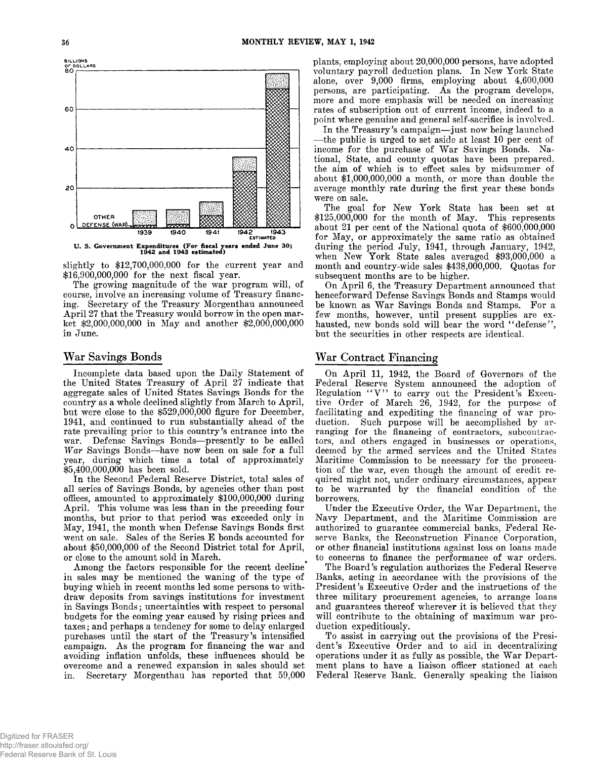

**slightly to \$12,700,000,000 for the current year and \$16,900,000,000 for the next fiscal year.**

**The growing magnitude of the war program will, of course, involve an increasing volume of Treasury financing. Secretary of the Treasury Morgenthau announced April 27 that the Treasury would borrow in the open market \$2,000,000,000 in May and another \$2,000,000,000 in June.**

## **War Savings Bonds**

**Incomplete data based upon the Daily Statement of the United States Treasury of April 27 indicate that aggregate sales of United States Savings Bonds for the country as a whole declined slightly from March to April, but were close to the \$529,000,000 figure for December, 1941, and continued to run substantially ahead of the rate prevailing prior to this country's entrance into the war. Defense Savings Bonds— presently to be called** *W ar* **Savings Bonds— have now been on sale for a full year, during which time a total of approximately \$5,400,000,000 has been sold.**

**In the Second Federal Reserve District, total sales of all series of Savings Bonds, by agencies other than post offices, amounted to approximately \$100,000,000 during April. This volume was less than in the preceding four months, but prior to that period was exceeded only in May, 1941, the month when Defense Savings Bonds first went on sale. Sales of the Series E bonds accounted for about \$50,000,000 of the Second District total for April, or close to the amount sold in March.**

**Among the factors responsible for the recent decline in sales may be mentioned the waning of the type of buying which in recent months led some persons to withdraw deposits from savings institutions for investment in Savings Bonds; uncertainties with respect to personal budgets for the coming year caused by rising prices and taxes; and perhaps a tendency for some to delay enlarged purchases until the start of the Treasury's intensified campaign. As the program for financing the war and avoiding inflation unfolds, these influences should be overcome and a renewed expansion in sales should set in. Secretary Morgenthau has reported that 59,000**

**plants, employing about 20,000,000 persons, have adopted voluntary payroll deduction plans. In New York State alone, over 9,000 firms, employing about 4,600,000 persons, are participating. As the program develops, more and more emphasis will be needed on increasing rates of subscription out of current income, indeed to a point where genuine and general self-sacrifice is involved.**

**In the Treasury's campaign— just now being launched — the public is urged to set aside at least 10 per cent of income for the purchase of War Savings Bonds. National, State, and county quotas have been prepared, the aim of which is to effect sales by midsummer of about \$1,000,000,000 a month, or more than double the average monthly rate during the first year these bonds were on sale.**

**The goal for New York State has been set at \$125,000,000 for the month of May. This represents about 21 per cent of the National quota of \$600,000,000 for May, or approximately the same ratio as obtained during the period July, 1941, through January, 1942, when New York State sales averaged \$93,000,000 a month and country-wide sales \$438,000,000. Quotas for subsequent months are to be higher.**

**On April 6, the Treasury Department announced that henceforward Defense Savings Bonds and Stamps would be known as War Savings Bonds and Stamps. For a few months, however, until present supplies are ex**hausted, new bonds sold will bear the word "defense", **but the securities in other respects are identical.**

# **War Contract Financing**

**On April 11, 1942, the Board of Governors of the Federal Reserve System announced the adoption of** Regulation "V" to carry out the President's Execu**tive Order of March 26, 1942, for the purpose of facilitating and expediting the financing of war production. Such purpose will be accomplished by arranging for the financing of contractors, subcontractors, and others engaged in businesses or operations, deemed by the armed services and the United States Maritime Commission to be necessary for the prosecution of the war, even though the amount of credit required might not, under ordinary circumstances, appear to be warranted by the financial condition of the borrowers.**

**Under the Executive Order, the War Department, the Navy Department, and the Maritime Commission are authorized to guarantee commercial banks, Federal Reserve Banks, the Reconstruction Finance Corporation, or other financial institutions against loss on loans made to concerns to finance the performance of war orders.**

**The Board's regulation authorizes the Federal Reserve Banks, acting in accordance with the provisions of the President's Executive Order and the instructions of the three military procurement agencies, to arrange loans and guarantees thereof wherever it is believed that they will contribute to the obtaining of maximum war production expeditiously.**

**To assist in carrying out the provisions of the President's Executive Order and to aid in decentralizing operations under it as fully as possible, the War Department plans to have a liaison officer stationed at each Federal Reserve Bank. Generally speaking the liaison**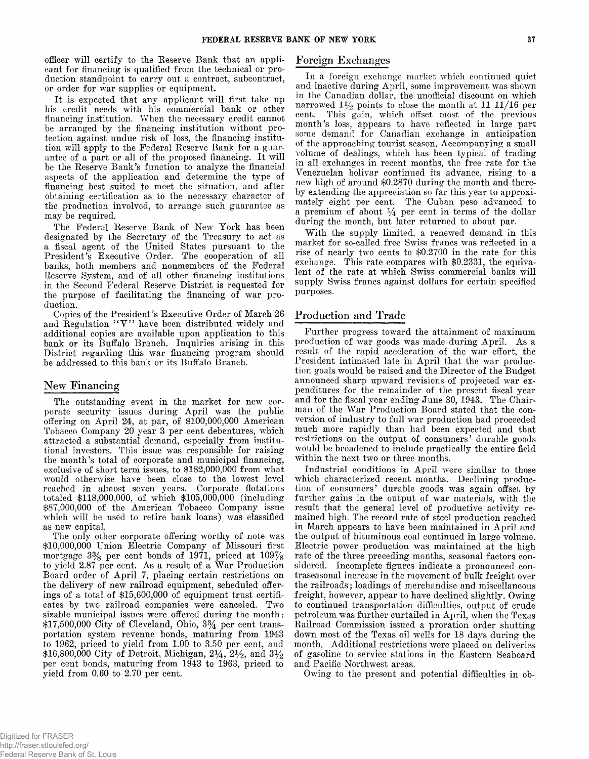**officer will certify to the Reserve Bank that an applicant for financing is qualified from the technical or production standpoint to carry out a contract, subcontract, or order for war supplies or equipment.**

**It is expected that any applicant will first take up his credit needs with his commercial bank or other financing institution. When the necessary credit cannot be arranged by the financing institution without protection against undue risk of loss, the financing institution will apply to the Federal Eeserve Bank for a guarantee of a part or all of the proposed financing. It will be the Reserve Bank's function to analyze the financial aspects of the application and determine the type of financing best suited to meet the situation, and after obtaining certification as to the necessary character of the production involved, to arrange such guarantee as may be required.**

**The Federal Reserve Bank of New York has been designated by the Secretary of the Treasury to act as a fiscal agent of the United States pursuant to the President's Executive Order. The cooperation of all banks, both members and nonmembers of the Federal Reserve System, and of all other financing institutions in the Second Federal Reserve District is requested for the purpose of facilitating the financing of war production.**

**Copies of the President's Executive Order of March 26** and Regulation "V" have been distributed widely and **additional copies are available upon application to this bank or its Buffalo Branch. Inquiries arising in this District regarding this war financing program should be addressed to this bank or its Buffalo Branch.**

# New Financing

**The outstanding event in the market for new corporate security issues during April was the public offering on April 24, at par, of \$100,000,000 American Tobacco Company 20 year 3 per cent debentures, which attracted a substantial demand, especially from institutional investors. This issue was responsible for raising the month's total of corporate and municipal financing, exclusive of short term issues, to \$182,000,000 from what would otherwise have been close to the lowest level reached in almost seven years. Corporate flotations totaled \$118,000,000, of which \$105,000,000 (including \$87,000,000 of the American Tobacco Company issue which will be used to retire bank loans) was classified as new capital.**

**The only other corporate offering worthy of note was \$10,000,000 Union Electric Company of Missouri first mortgage 3% per cent bonds of 1971, priced at 109% to yield 2.87 per cent. As a result of a War Production Board order of April 7, placing certain restrictions on the delivery of new railroad equipment, scheduled offerings of a total of \$15,600,000 of equipment trust certificates by two railroad companies were canceled. Two sizable municipal issues were offered during the month: \$17,500,000 City of Cleveland, Ohio, 3***%* **per cent transportation system revenue bonds, maturing from 1943 to 1962, priced to yield from 1.00 to 3.50 per cent, and \$16,800,000 City of Detroit, Michigan, 2**1**/4, 2%, and 3***y2* **per cent bonds, maturing from 1943 to 1963, priced to yield from 0.60 to 2.70 per cent.**

## **Foreign Exchanges**

**In a foreign exchange market which continued quiet and inactive during April, some improvement was shown in the Canadian dollar, the unofficial discount on which** narrowed  $1\frac{1}{2}$  points to close the month at 11 11/16 per **cent. This gain, which offset most of the previous month's loss, appears to have reflected in large part some demand for Canadian exchange in anticipation of the approaching tourist season. Accompanying a small volume of dealings, which has been typical of trading in all exchanges in recent months, the free rate for the Venezuelan bolivar continued its advance, rising to a new high of around \$0.2870 during the month and thereby extending the appreciation so far this year to approximately eight per cent. The Cuban peso advanced to a premium of about** *y±* **per cent in terms of the dollar during the month, but later returned to about par.**

**With the supply limited, a renewed demand in this market for so-called free Swiss francs was reflected in a rise of nearly two cents to \$0.2700 in the rate for this exchange. This rate compares with \$0.2331, the equivalent of the rate at which Swiss commercial banks will supply Swiss francs against dollars for certain specified purposes.**

# **Production and Trade**

**Further progress toward the attainment of maximum production of war goods was made during April. As a result of the rapid acceleration of the war effort, the President intimated late in April that the war production goals would be raised and the Director of the Budget announced sharp upward revisions of projected war expenditures for the remainder of the present fiscal year and for the fiscal year ending June 30, 1943. The Chairman of the War Production Board stated that the conversion of industry to full war production had proceeded much more rapidly than had been expected and that restrictions on the output of consumers' durable goods would be broadened to include practically the entire field within the next two or three months.**

**Industrial conditions in April were similar to those which characterized recent months. Declining production of consumers' durable goods was again offset by further gains in the output of war materials, with the result that the general level of productive activity remained high. The record rate of steel production reached in March appears to have been maintained in April and the output of bituminous coal continued in large volume. Electric power production was maintained at the high rate of the three preceding months, seasonal factors considered. Incomplete figures indicate a pronounced contraseasonal increase in the movement of bulk freight over the railroads; loadings of merchandise and miscellaneous freight, however, appear to have declined slightly. Owing to continued transportation difficulties, output of crude petroleum was further curtailed in April, when the Texas Railroad Commission issued a proration order shutting down most of the Texas oil wells for 18 days during the month. Additional restrictions were placed on deliveries of gasoline to service stations in the Eastern Seaboard and Pacific Northwest areas.**

**Owing to the present and potential difficulties in ob-**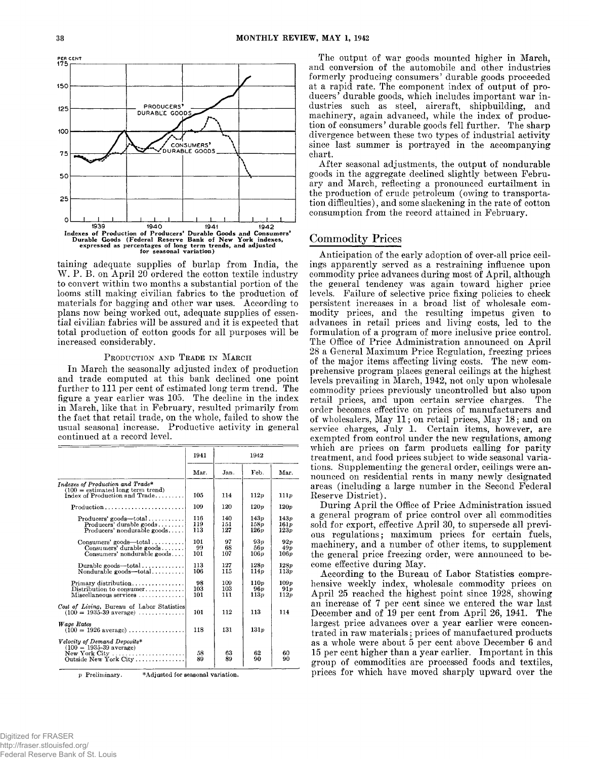

**taining adequate supplies of burlap from India, the W . P. B. on April 20 ordered the cotton textile industry to convert within two months a substantial portion of the looms still making civilian fabrics to the production of materials for bagging and other war uses. According to plans now being worked out, adequate supplies of essential civilian fabrics will be assured and it is expected that total production of cotton goods for all purposes will be increased considerably.**

## **Production and Trade in March**

**In March the seasonally adjusted index of production and trade computed at this bank declined one point further to 111 per cent of estimated long term trend. The figure a year earlier was 105. The decline in the index in March, like that in February, resulted primarily from the fact that retail trade, on the whole, failed to show the usual seasonal increase. Productive activity in general continued at a record level.**

|                                                                                                                                                         | 1941              | 1942              |                                 |                                 |
|---------------------------------------------------------------------------------------------------------------------------------------------------------|-------------------|-------------------|---------------------------------|---------------------------------|
|                                                                                                                                                         | Mar.              | Jan.              | Feb.                            | Mar.                            |
| Indexes of Production and Trade*<br>$(100 =$ estimated long term trend)<br>Index of Production and Trade                                                | 105               | 114               | 112p                            | 111p                            |
| Production                                                                                                                                              | 109               | 120               | 120p                            | 120p                            |
| $Produeers' goods - total \ldots \ldots$<br>$\textbf{Products'}$ durable goods<br>Producers' nondurable $\mathbf{z}$ oods                               | 116<br>119<br>113 | 140<br>151<br>127 | 143p<br>158p<br>126v            | 143p<br>161p<br>123p            |
| $Consumes' goods$ dods $\dots$<br>Consumers' durable $\mathbf{goods} \dots \dots$<br>Consumers' nondurable goods                                        | 101<br>99<br>101  | 97<br>68<br>107   | 93 <sub>v</sub><br>56 p<br>106p | 92p<br>49p<br>106p              |
| Durable goods—total<br>Nondurable goods—total                                                                                                           | 113<br>106        | 127<br>115        | 128p<br>114v                    | 128v<br>113p                    |
| $Primary$ distribution<br>Distribution to consumer<br>$Miseellaneous$ services $\ldots \ldots \ldots \ldots$                                            | 98<br>103<br>101  | 109<br>103<br>111 | 110p<br>96 p<br>113p            | 109 <sub>p</sub><br>91p<br>112p |
| Cost of Living, Bureau of Labor Statistics<br>$(100 = 1935-39 \text{ average}) \dots \dots \dots \dots$                                                 | 101               | 112               | 113                             | 114                             |
| Wage Rates<br>$(100 = 1926 \text{ average}) \dots \dots \dots \dots \dots$                                                                              | 118               | 131               | 131p                            |                                 |
| Velocity of Demand Deposits*<br>$(100 = 1935.39 \text{ average})$<br>$New York City \ldots \ldots \ldots \ldots \ldots \ldots$<br>Outside New York City | 58<br>89          | 63<br>89          | 62<br>90                        | 60<br>90                        |

*p* **Preliminary. \* Ad justed for seasonal variation.**

**The output of war goods mounted higher in March, and conversion of the automobile and other industries formerly producing consumers' durable goods proceeded at a rapid rate. The component index of output of producers' durable goods, which includes important war industries such as steel, aircraft, shipbuilding, and machinery, again advanced, while the index of production of consumers ' durable goods fell further. The sharp divergence between these two types of industrial activity since last summer is portrayed in the accompanying chart.**

**After seasonal adjustments, the output of nondurable goods in the aggregate declined slightly between February and March, reflecting a pronounced curtailment in the production of crude petroleum (owing to transportation difficulties), and some slackening in the rate of cotton consumption from the record attained in February.**

# **C om m odity Prices**

**Anticipation of the early adoption of over-all price ceilings apparently served as a restraining influence upon commodity price advances during most of April, although the general tendency was again toward higher price levels. Failure of selective price fixing policies to check persistent increases in a broad list of wholesale commodity prices, and the resulting impetus given to advances in retail prices and living costs, led to the formulation of a program of more inclusive price control. The Office of Price Administration announced on April 28 a General Maximum Price Regulation, freezing prices of the major items affecting living costs. The new comprehensive program places general ceilings at the highest levels prevailing in March, 1942, not only upon wholesale commodity prices previously uncontrolled but also upon retail prices, and upon certain service charges. The order becomes effective on prices of manufacturers and of wholesalers, May 11; on retail prices, May 18; and on service charges, July 1. Certain items, however, are exempted from control under the new regulations, among which are prices on farm products calling for parity treatment, and food prices subject to wide seasonal variations. Supplementing the general order, ceilings were announced on residential rents in many newly designated areas (including a large number in the Second Federal Reserve District).**

**During April the Office of Price Administration issued a general program of price control over all commodities sold for export, effective April 30, to supersede all previous regulations; maximum prices for certain fuels, machinery, and a number of other items, to supplement the general price freezing order, were announced to become effective during May.**

**According to the Bureau of Labor Statistics comprehensive weekly index, wholesale commodity prices on April 25 reached the highest point since 1928, showing an increase of 7 per cent since we entered the war last December and of 19 per cent from April 26, 1941. The largest price advances over a year earlier were concentrated in raw materials; prices of manufactured products as a whole were about 5 per cent above December 6 and 15 per cent higher than a year earlier. Important in this group of commodities are processed foods and textiles, prices for which have moved sharply upward over the**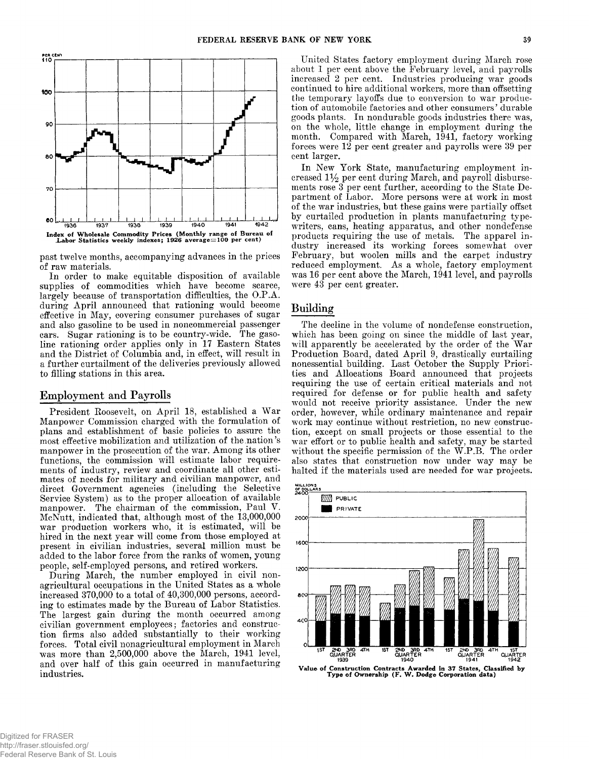

**past twelve months, accompanying advances in the prices of raw materials.**

**In order to make equitable disposition of available supplies of commodities which have become scarce, largely because of transportation difficulties, the O.P.A. during April announced that rationing would become effective in May, covering consumer purchases of sugar and also gasoline to be used in noncommercial passenger cars. Sugar rationing is to be country-wide. The gasoline rationing order applies only in 17 Eastern States and the District of Columbia and, in effect, will result in a further curtailment of the deliveries previously allowed to filling stations in this area.**

# **Employment and Payrolls**

**President Roosevelt, on April 18, established a War Manpower Commission charged with the formulation of plans and establishment of basic policies to assure the most effective mobilization and utilization of the.nation's manpower in the prosecution of the war. Among its other functions, the commission will estimate labor requirements of industry, review and coordinate all other estimates of needs for military and civilian manpower, and direct Government agencies (including the Selective Service System) as to the proper allocation of available manpower. The chairman of the commission, Paul V. McNutt, indicated that, although most of the 13,000,000 war production workers who, it is estimated, will be hired in the next year will come from those employed at present in civilian industries, several million must be added to the labor force from the ranks of women, young people, self-employed persons, and retired workers.**

**During March, the number employed in civil nonagricultural occupations in the United States as a whole increased 370,000 to a total of 40,300,000 persons, according to estimates made by the Bureau of Labor Statistics. The largest gain during the month occurred among civilian government employees; factories and construction firms also added substantially to their working forces. Total civil nonagricultural employment in March was more than 2,500,000 above the March, 1941 level, and over half of this gain occurred in manufacturing industries.**

**United States factory employment during March rose about 1 per cent above the February level, and payrolls increased 2 per cent. Industries producing war goods continued to hire additional workers, more than offsetting the temporary layoffs due to conversion to war production of automobile factories and other consumers ' durable goods plants. In nondurable goods industries there was, on the whole, little change in employment during the month. Compared with March, 1941, factory working forces were 12 per cent greater and payrolls were 39 per cent larger.**

**In New York State, manufacturing employment increased 1% per cent during March, and payroll disbursements rose 3 per cent further, according to the State Department of Labor. More persons were at work in most of the war industries, but these gains were partially offset by curtailed production in plants manufacturing typewriters, cans, heating apparatus, and other nondefense products requiring the use of metals. The apparel industry increased its working forces somewhat over February, but woolen mills and the carpet industry reduced employment. As a whole, factory employment was 16 per cent above the March, 1941 level, and payrolls were 43 per cent greater.**

# **Building**

**The decline in the volume of nondefense construction, which has been going on since the middle of last year, will apparently be accelerated by the order of the War Production Board, dated April 9, drastically curtailing nonessential building. Last October the Supply Priorities and Allocations Board announced that projects requiring the use of certain critical materials and not required for defense or for public health and safety would not receive priority assistance. Under the new order, however, while ordinary maintenance and repair work may continue without restriction, no new construction, except on small projects or those essential to the war effort or to public health and safety, may be started without the specific permission of the W.P.B. The order also states that construction now under way may be halted if the materials used are needed for war projects.**



Value of Construction Contracts Awarded in 37 States, Classified by Type of Ownership (F. W . Dodge Corporation data)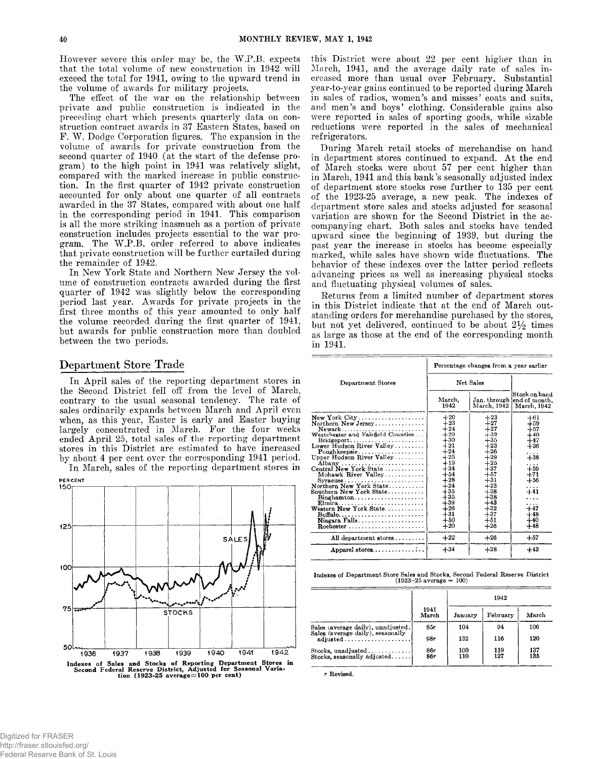**However severe this order may be, the W.P.B. expects that the total volume of new construction in 1942 will exceed the total for 1941, owing to the upward trend in the volume of awards for military projects.**

**The effect of the war on the relationship between private and public construction is indicated in the preceding chart which presents quarterly data on construction contract awards in 37 Eastern States, based on F. W. Dodge Corporation figures. The expansion in the volume of awards for private construction from the second quarter of 1940 (at the start of the defense program) to the high point in 1941 was relatively slight, compared with the marked increase in public construction. In the first quarter of 1942 private construction accounted for only about one quarter of all contracts awarded in the 37 States, compared with about one half in the corresponding period in 1941. This comparison is all the more striking inasmuch as a portion of private construction includes projects essential to the war program. The W.P.B. order referred to above indicates that private construction will be further curtailed during the remainder of 1942.**

**In New York State and Northern New Jersey the volume of construction contracts awarded during the first quarter of 1942 was slightly below the corresponding period last year. Awards for private projects in the first three months of this year amounted to only half the volume recorded during the first quarter of 1941, but awards for public construction more than doubled between the two periods.**

## **Department Store Trade**

**In April sales of the reporting department stores in the Second District fell off from the level of March, contrary to the usual seasonal tendency. The rate of sales ordinarily expands between March and April even when, as this year, Easter is early and Easter buying largely concentrated in March. For the four weeks ended April 25, total sales of the reporting department stores in this District are estimated to have increased by about 4 per cent over the corresponding 1941 period.**

**In March, sales of the reporting department stores in**



**this District were about 22 per cent higher than in March, 1941, and the average daily rate of sales increased more than usual over February. Substantial year-to-year gains continued to be reported during March in sales of radios, women's and misses' coats and suits, and men's and boys' clothing. Considerable gains also were reported in sales of sporting goods, while sizable reductions were reported in the sales of mechanical refrigerators.**

**During March retail stocks of merchandise on hand in department stores continued to expand. At the end of March stocks were about 57 per cent higher than in March, 1941 and this bank's seasonally adjusted index of department store stocks rose further to 135 per cent of the 1923-25 average, a new peak. The indexes of department store sales and stocks adjusted for seasonal variation are shown for the Second District in the accompanying chart. Both sales and stocks have tended upward since the beginning of 1939, but during the past year the increase in stocks has become especially marked, while sales have shown wide fluctuations. The behavior of these indexes over the latter period reflects advancing prices as well as increasing physical stocks and fluctuating physical volumes of sales.**

**Returns from a limited number of department stores in this District indicate that at the end of March outstanding orders for merchandise purchased by the stores,** but not yet delivered, continued to be about  $2\frac{1}{2}$  times **as large as those at the end of the corresponding month in 1941.**

|                                                                                                                                                                                                                                                                                                                                                                                                                                                                                                                     | Percentage changes from a year earlier                                                                                                                                           |                                                                                                                                                                                         |                                                                                                                                                  |  |
|---------------------------------------------------------------------------------------------------------------------------------------------------------------------------------------------------------------------------------------------------------------------------------------------------------------------------------------------------------------------------------------------------------------------------------------------------------------------------------------------------------------------|----------------------------------------------------------------------------------------------------------------------------------------------------------------------------------|-----------------------------------------------------------------------------------------------------------------------------------------------------------------------------------------|--------------------------------------------------------------------------------------------------------------------------------------------------|--|
| Department Stores                                                                                                                                                                                                                                                                                                                                                                                                                                                                                                   | Net Sales                                                                                                                                                                        |                                                                                                                                                                                         |                                                                                                                                                  |  |
|                                                                                                                                                                                                                                                                                                                                                                                                                                                                                                                     | March.<br>1942                                                                                                                                                                   | March, 1942                                                                                                                                                                             | Stock on hand<br>Jan. through end of month.<br>March, 1942                                                                                       |  |
| New York $City \ldots \ldots \ldots \ldots \ldots \ldots$<br>Northern New Jersey<br>Newark<br>Westchester and Fairfield Counties<br>$Bridgeport \dots \dots \dots \dots \dots \dots \dots$<br>Lower Hudson River Valley<br>$Pouzhkeepsie \ldots  \ldots $<br>Upper Hudson River Valley<br>Mohawk River Valley<br>Syracuse<br>Northern New York State<br>Southern New York State, $\ldots$<br>$Binghamton \ldots \ldots \ldots \ldots \ldots \ldots$<br>Elmira<br>Western New York State<br>Buffalo<br>Niagara Falls | $+20$<br>$+23$<br>$+24$<br>$+29$<br>$+30$<br>$+21$<br>$+24$<br>$+25$<br>$+19$<br>$+34$<br>$+54$<br>$+28$<br>$+24$<br>$+35$<br>$+35$<br>$+39$<br>$+26$<br>$+31$<br>$+50$<br>$+20$ | $+23$<br>$+27$<br>$+27$<br>$+32$<br>$+35$<br>$+23$<br>$+26$<br>$+29$<br>$+25$<br>$+37$<br>$+57$<br>$+31$<br>$^{+23}$<br>$+38$<br>$+38$<br>+43<br>$^{+32}$<br>$^{+37}$<br>$+51$<br>$+26$ | $+61$<br>$+59$<br>$+57$<br>$+40$<br>$+47$<br>$+36$<br>.<br>$+38$<br>.<br>$+59$<br>$+71$<br>$+56$<br>.<br>-41<br>$+47$<br>$+48$<br>$+40$<br>$+48$ |  |
| All department stores                                                                                                                                                                                                                                                                                                                                                                                                                                                                                               | $+22$                                                                                                                                                                            | $+26$                                                                                                                                                                                   | $+57$                                                                                                                                            |  |
| Apparel stores                                                                                                                                                                                                                                                                                                                                                                                                                                                                                                      | $+34$                                                                                                                                                                            | $+28$                                                                                                                                                                                   | $+43$                                                                                                                                            |  |

**Indexes of Department Store Sales and Stocks, Second Federal Reserve District (1923-25 average = 100)**

|                                                                         |               | 1942       |            |            |
|-------------------------------------------------------------------------|---------------|------------|------------|------------|
|                                                                         | 1941<br>March | January    | February   | March      |
| Sales (average daily), unadjusted.<br>Sales (average daily), seasonally | 85r           | 104        | 94         | 106        |
| $\text{adjusted} \ldots \ldots \ldots \ldots \ldots$                    | 98r           | 132        | 116        | 120        |
| Stocks, unadjusted<br>Stocks, seasonally adjusted                       | 86r<br>86r    | 100<br>110 | 119<br>127 | 137<br>135 |

*r* Revised.